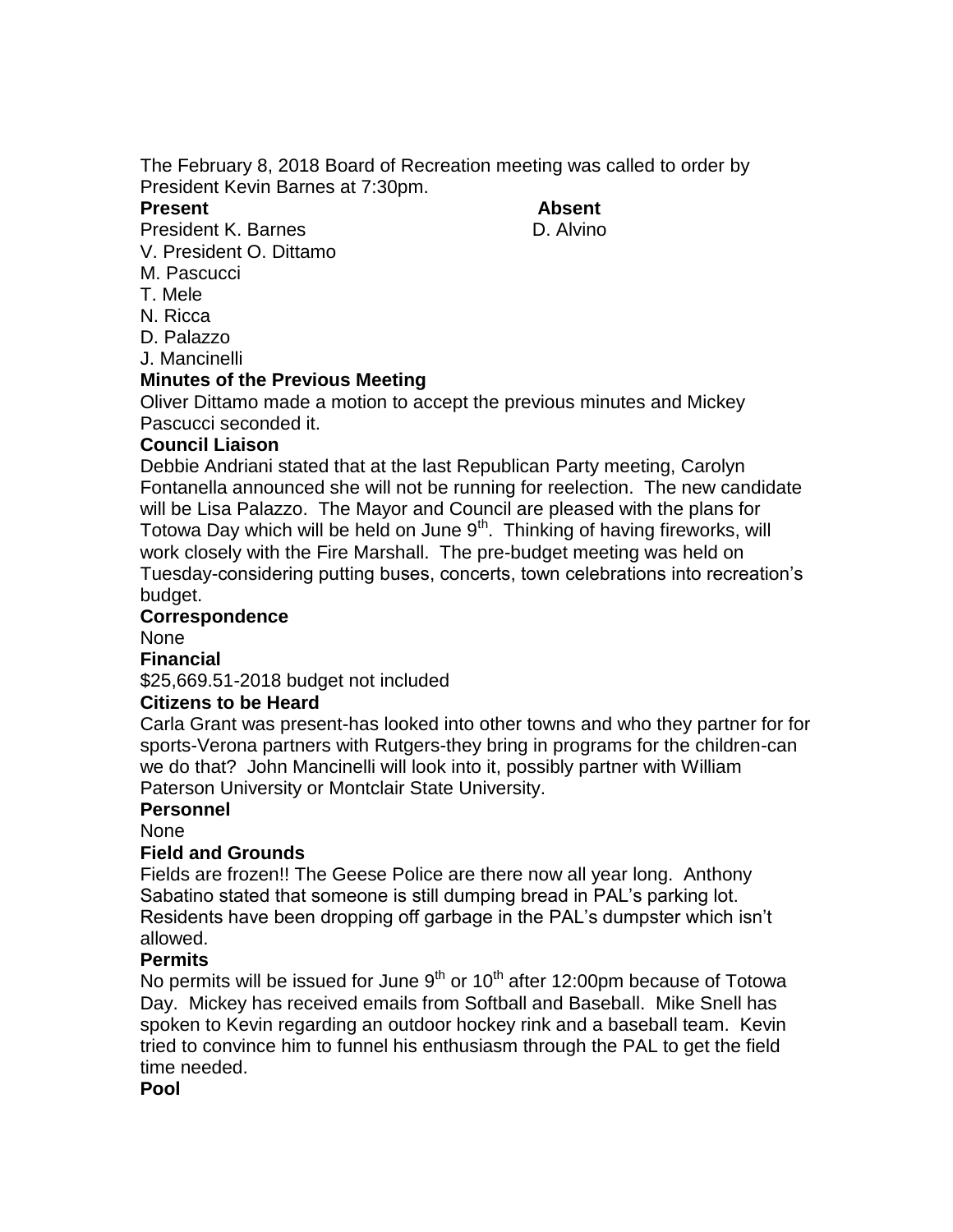The February 8, 2018 Board of Recreation meeting was called to order by President Kevin Barnes at 7:30pm.

#### **Present Absent**

President K. Barnes **D. Alvino** 

V. President O. Dittamo

M. Pascucci

- T. Mele
- N. Ricca
- D. Palazzo

J. Mancinelli

### **Minutes of the Previous Meeting**

Oliver Dittamo made a motion to accept the previous minutes and Mickey Pascucci seconded it.

# **Council Liaison**

Debbie Andriani stated that at the last Republican Party meeting, Carolyn Fontanella announced she will not be running for reelection. The new candidate will be Lisa Palazzo. The Mayor and Council are pleased with the plans for Totowa Day which will be held on June  $9<sup>th</sup>$ . Thinking of having fireworks, will work closely with the Fire Marshall. The pre-budget meeting was held on Tuesday-considering putting buses, concerts, town celebrations into recreation's budget.

### **Correspondence**

None

### **Financial**

\$25,669.51-2018 budget not included

# **Citizens to be Heard**

Carla Grant was present-has looked into other towns and who they partner for for sports-Verona partners with Rutgers-they bring in programs for the children-can we do that? John Mancinelli will look into it, possibly partner with William Paterson University or Montclair State University.

### **Personnel**

None

# **Field and Grounds**

Fields are frozen!! The Geese Police are there now all year long. Anthony Sabatino stated that someone is still dumping bread in PAL's parking lot. Residents have been dropping off garbage in the PAL's dumpster which isn't allowed.

# **Permits**

No permits will be issued for June  $9<sup>th</sup>$  or  $10<sup>th</sup>$  after 12:00pm because of Totowa Day. Mickey has received emails from Softball and Baseball. Mike Snell has spoken to Kevin regarding an outdoor hockey rink and a baseball team. Kevin tried to convince him to funnel his enthusiasm through the PAL to get the field time needed.

### **Pool**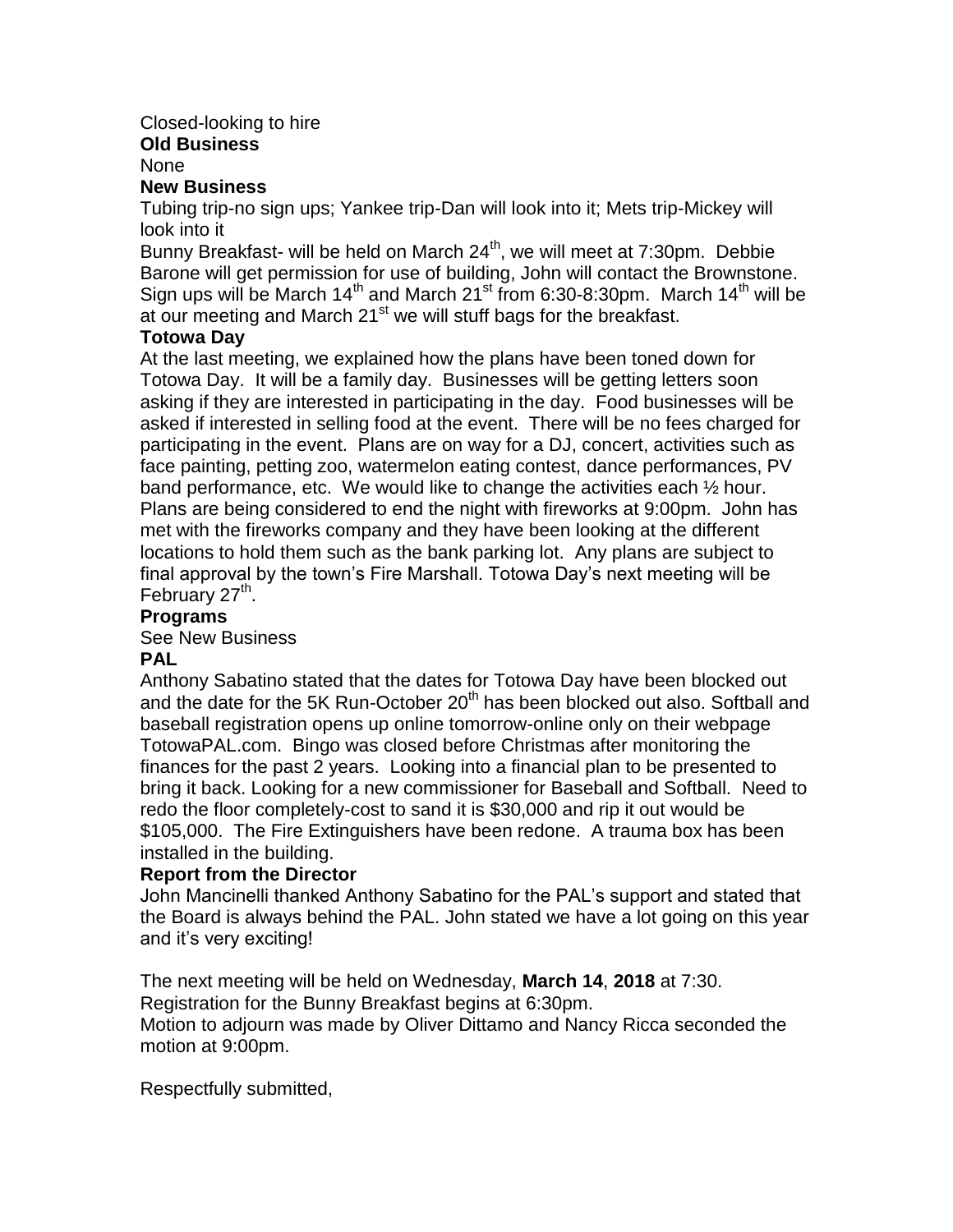# Closed-looking to hire

#### **Old Business**

None

### **New Business**

Tubing trip-no sign ups; Yankee trip-Dan will look into it; Mets trip-Mickey will look into it

Bunny Breakfast- will be held on March 24<sup>th</sup>, we will meet at 7:30pm. Debbie Barone will get permission for use of building, John will contact the Brownstone. Sign ups will be March  $14<sup>th</sup>$  and March  $21<sup>st</sup>$  from 6:30-8:30pm. March  $14<sup>th</sup>$  will be at our meeting and March  $21<sup>st</sup>$  we will stuff bags for the breakfast.

### **Totowa Day**

At the last meeting, we explained how the plans have been toned down for Totowa Day. It will be a family day. Businesses will be getting letters soon asking if they are interested in participating in the day. Food businesses will be asked if interested in selling food at the event. There will be no fees charged for participating in the event. Plans are on way for a DJ, concert, activities such as face painting, petting zoo, watermelon eating contest, dance performances, PV band performance, etc. We would like to change the activities each ½ hour. Plans are being considered to end the night with fireworks at 9:00pm. John has met with the fireworks company and they have been looking at the different locations to hold them such as the bank parking lot. Any plans are subject to final approval by the town's Fire Marshall. Totowa Day's next meeting will be February 27<sup>th</sup>.

### **Programs**

See New Business

# **PAL**

Anthony Sabatino stated that the dates for Totowa Day have been blocked out and the date for the 5K Run-October  $20<sup>th</sup>$  has been blocked out also. Softball and baseball registration opens up online tomorrow-online only on their webpage TotowaPAL.com. Bingo was closed before Christmas after monitoring the finances for the past 2 years. Looking into a financial plan to be presented to bring it back. Looking for a new commissioner for Baseball and Softball. Need to redo the floor completely-cost to sand it is \$30,000 and rip it out would be \$105,000. The Fire Extinguishers have been redone. A trauma box has been installed in the building.

### **Report from the Director**

John Mancinelli thanked Anthony Sabatino for the PAL's support and stated that the Board is always behind the PAL. John stated we have a lot going on this year and it's very exciting!

The next meeting will be held on Wednesday, **March 14**, **2018** at 7:30. Registration for the Bunny Breakfast begins at 6:30pm.

Motion to adjourn was made by Oliver Dittamo and Nancy Ricca seconded the motion at 9:00pm.

Respectfully submitted,